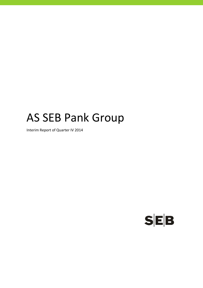# AS SEB Pank Group

Interim Report of Quarter IV 2014

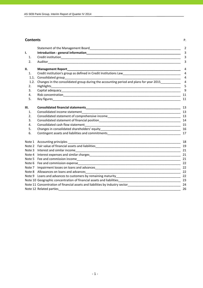### **Contents** P.

|      |                                                                                                                                                                                                                                           | $\overline{2}$ |
|------|-------------------------------------------------------------------------------------------------------------------------------------------------------------------------------------------------------------------------------------------|----------------|
| I.   |                                                                                                                                                                                                                                           | 3              |
| 1.   |                                                                                                                                                                                                                                           | $\overline{3}$ |
| 2.   | Auditor <b>Autor</b> Autor <b>Autor Autor Autor Autor Autor Autor Autor Autor Autor Autor Autor Autor Autor Autor Autor Autor Autor Autor Autor Autor Autor Autor Autor Autor Autor Autor Autor Autor Autor Autor Autor Autor Autor A</b> | 3              |
| II.  | <b>Management Report</b>                                                                                                                                                                                                                  | 4              |
| 1.   | Credit institution's group as defined in Credit Institutions Law<br>__________________________________                                                                                                                                    | $\overline{4}$ |
| 1.1. | Consolidated group                                                                                                                                                                                                                        | $\overline{4}$ |
| 1.2. | Changes in the consolidated group during the accounting period and plans for year 2015                                                                                                                                                    | $\overline{4}$ |
| 2.   |                                                                                                                                                                                                                                           | 5              |
| 3.   |                                                                                                                                                                                                                                           | 9              |
| 4.   |                                                                                                                                                                                                                                           | 11             |
| 5.   |                                                                                                                                                                                                                                           | 11             |
| Ш.   |                                                                                                                                                                                                                                           | 13             |
| 1.   |                                                                                                                                                                                                                                           |                |
| 2.   | Consolidated statement of comprehensive income<br><u>[13]</u> 13                                                                                                                                                                          |                |
| 3.   |                                                                                                                                                                                                                                           |                |
| 4.   |                                                                                                                                                                                                                                           | 15             |
| 5.   |                                                                                                                                                                                                                                           |                |
| 6.   |                                                                                                                                                                                                                                           |                |
|      |                                                                                                                                                                                                                                           | 18             |
|      |                                                                                                                                                                                                                                           | 19             |
|      |                                                                                                                                                                                                                                           | 21             |
|      |                                                                                                                                                                                                                                           | 21             |
|      |                                                                                                                                                                                                                                           | 21             |
|      |                                                                                                                                                                                                                                           |                |
|      | Note 7 Impairment losses on loans and advances                                                                                                                                                                                            | 22             |
|      |                                                                                                                                                                                                                                           | 22             |
|      |                                                                                                                                                                                                                                           | 22             |
|      |                                                                                                                                                                                                                                           |                |
|      | Note 11 Concentration of financial assets and liabilities by industry sector__________________________________24                                                                                                                          |                |
|      | Note 12 Related parties                                                                                                                                                                                                                   | 26             |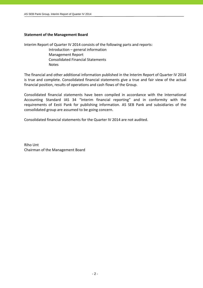### **Statement of the Management Board**

Interim Report of Quarter IV 2014 consists of the following parts and reports:

 Introduction – general information Management Report Consolidated Financial Statements **Notes** 

The financial and other additional information published in the Interim Report of Quarter IV 2014 is true and complete. Consolidated financial statements give a true and fair view of the actual financial position, results of operations and cash flows of the Group.

Consolidated financial statements have been compiled in accordance with the International Accounting Standard IAS 34 "Interim financial reporting" and in conformity with the requirements of Eesti Pank for publishing information. AS SEB Pank and subsidiaries of the consolidated group are assumed to be going concern.

Consolidated financial statements for the Quarter IV 2014 are not audited.

Riho Unt Chairman of the Management Board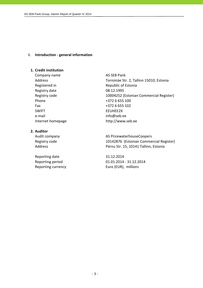### **I. Introduction ‐ general information**

### **1. Credit institution**

Company name AS SEB Pank Registry date 08.12.1995 Phone  $+3726655100$ Fax  $+3726655102$ SWIFT FEUHEE2X e-mail info@seb.ee Internet homepage http://www.seb.ee

**2. Auditor**

Reporting date 31.12.2014

Address Tornimäe Str. 2, Tallinn 15010, Estonia Registered in Republic of Estonia Registry code 10004252 (Estonian Commercial Register)

Audit company **AS PricewaterhouseCoopers** Registry code 10142876 (Estonian Commercial Register) Address **Pärnu Str. 15, 10141 Tallinn, Estonia** 

Reporting period 01.01.2014 ‐ 31.12.2014 Reporting currency **EUR** Euro (EUR), millions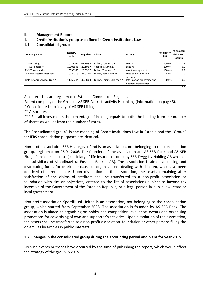| Company name                 | <b>Registry</b><br>code | Reg. date | Address                   | <b>Activity</b>                                  | Holding***<br>(%) | At an acqui-<br>sition cost<br>(EURmio) |
|------------------------------|-------------------------|-----------|---------------------------|--------------------------------------------------|-------------------|-----------------------------------------|
| AS SEB Liising               | 10281767                | 03.10.97  | Tallinn, Tornimäe 2       | Leasing                                          | 100.0%            | 1.8                                     |
| AS Rentacar*                 | 10303546                | 20.10.97  | Haapsalu, Karja 27        | Leasing                                          | 100.0%            | 0.0                                     |
| AS SEB Varahaldus            | 10035169                | 22.05.96  | Tallinn. Tornimäe 2       | Asset management                                 | 100.0%            | 2.7                                     |
| AS Sertifitseerimiskeskus**  | 10747013                | 27.03.01  | Tallinn. Pärnu mnt 141    | Data communication<br>services                   | 25.0%             | 1.0                                     |
| Tieto Estonia Services OÜ ** | 11065244                | 30.08.04  | Tallinn. Tammsaare tee 47 | Information processing and<br>network management | 20.0%             | 0.0                                     |
|                              |                         |           |                           |                                                  |                   | 5.5                                     |

### **II. Management Report**

### **1. Credit institution's group as defined in Credit Institutions Law 1.1. Consolidated group**

All enterprises are registered in Estonian Commercial Register.

Parent company of the Group is AS SEB Pank, its activity is banking (information on page 3).

\* Consolidated subsidiary of AS SEB Liising

\*\* Associates

\*\*\* For all investments the percentage of holding equals to both, the holding from the number of shares as well as from the number of votes.

The "consolidated group" in the meaning of Credit Institutions Law in Estonia and the "Group" for IFRS consolidation purposes are identical.

Non‐profit association SEB Heategevusfond is an association, not belonging to the consolidation group, registered on 06.01.2006. The founders of the association are AS SEB Pank and AS SEB Elu‐ ja Pensionikindlustus (subsidiary of life insurance company SEB Trygg Liv Holding AB which is the subsidiary of Skandinaviska Enskilda Banken AB). The association is aimed at raising and distributing funds for charitable cause to organisations, dealing with children, who have been deprived of parental care. Upon dissolution of the association, the assets remaining after satisfaction of the claims of creditors shall be transferred to a non-profit association or foundation with similar objectives, entered to the list of associations subject to income tax incentive of the Government of the Estonian Republic, or a legal person in public law, state or local government.

Non‐profit association Spordiklubi United is an association, not belonging to the consolidation group, which started from September 2008. The association is founded by AS SEB Pank. The association is aimed at organising on hobby and competition level sport events and organising promotions for advertising of own and supporter´s activities. Upon dissolution of the association, the assets shall be transferred to a non‐profit association, foundation or other persons filling the objectives by articles in public interests.

### **1.2. Changes in the consolidated group during the accounting period and plans for year 2015**

No such events or trends have occurred by the time of publishing the report, which would affect the strategy of the group in 2015.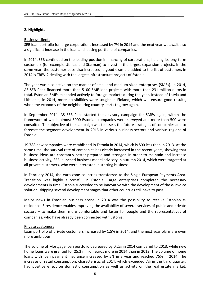### **2. Highlights**

### Business clients

SEB loan portfolio for large corporations increased by 7% in 2014 and the next year we await also a significant increase in the loan and leasing portfolio of companies.

In 2014, SEB continued on the leading position in financing of corporations, helping its long‐term customers (for example Utilitas and Starman) to invest in the largest expansion projects. In the same year, the customer base also increased; a good example added to the list of customers in 2014 is TREV‐2 dealing with the largest infrastructure projects of Estonia.

The year was also active on the market of small and medium‐sized enterprises (SMEs). In 2014, AS SEB Pank financed more than 5100 SME loan projects with more than 231 million euros in total. Estonian SMEs expanded actively to foreign markets during the year. Instead of Latvia and Lithuania, in 2014, more possibilities were sought in Finland, which will ensure good results, when the economy of the neighbouring country starts to grow again.

In September 2014, AS SEB Pank started the advisory campaign for SMEs again, within the framework of which almost 3000 Estonian companies were surveyed and more than 500 were consulted. The objective of the campaign was to assess the future strategies of companies and to forecast the segment development in 2015 in various business sectors and various regions of Estonia.

19 788 new companies were established in Estonia in 2014, which is 800 less than in 2013. At the same time, the survival rate of companies has clearly increased in the recent years, showing that business ideas are constantly better‐prepared and stronger. In order to maintain and increase business activity, SEB launched business model advisory in autumn 2014, which were targeted at all private customers, who were interested in starting business.

In February 2014, the euro zone countries transferred to the Single European Payments Area. Transition was highly successful in Estonia. Large enterprises completed the necessary developments in time. Estonia succeeded to be innovative with the development of the e‐invoice solution, skipping several development stages that other countries still have to pass.

Major news in Estonian business scene in 2014 was the possibility to receive Estonian eresidence. E‐residence enables improving the availability of several services of public and private sectors – to make them more comfortable and faster for people and the representatives of companies, who have already been connected with Estonia.

### Private customers

Loan portfolio of private customers increased by 1.5% in 2014, and the next year plans are even more ambitious.

The volume of Mortgage loan portfolio decreased by 0.2% in 2014 compared to 2013, while new home loans were granted for 25.2 million euros more in 2014 than in 2013. The volume of home loans with loan payment insurance increased by 5% in a year and reached 75% in 2014. The increase of retail consumption, characteristic of 2014, which exceeded 7% in the third quarter, had positive effect on domestic consumption as well as activity on the real estate market.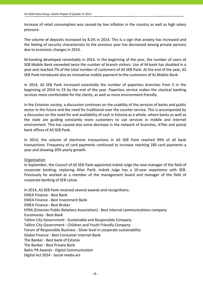Increase of retail consumption was caused by low inflation in the country as well as high salary pressure.

The volume of deposits increased by 8.2% in 2014. This is a sign that anxiety has increased and the feeling of security characteristic to the previous year has decreased among private persons due to economic changes in 2014.

M‐banking developed remarkably in 2014. In the beginning of the year, the number of users of SEB Mobile Bank exceeded twice the number of branch visitors. Use of M‐bank has doubled in a year and reached 7% of the total number of customers of AS SEB Pank. At the end of the year, AS SEB Pank introduced also an innovative mobile payment to the customers of its Mobile Bank.

In 2014, AS SEB Pank increased essentially the number of paperless branches from 5 in the beginning of 2014 to 23 by the end of the year. Paperless service makes the classical banking services more comfortable for the clients, as well as more environment‐friendly.

In the Estonian society, a discussion continues on the usability of the services of banks and public sector in the future and the need for traditional over the counter service. This is accompanied by a discussion on the need for and availability of cash in Estonia as a whole, where banks as well as the state are guiding constantly more customers to use services in mobile and internet environment. This has caused also some decrease in the network of branches, ATMs and postal bank offices of AS SEB Pank.

In 2014, the volume of electronic transactions in AS SEB Pank reached 99% of all bank transactions. Frequency of card payments continued to increase reaching 180 card payments a year and showing 20% yearly growth.

### Organisation

In September, the Council of AS SEB Pank appointed Indrek Julge the new manager of the field of corporate banking, replacing Allan Parik. Indrek Julge has a 10‐year experience with SEB. Previously he worked as a member of the management board and manager of the field of corporate banking of SEB Latvia.

In 2014, AS SEB Pank received several awards and recognitions: EMEA Finance ‐ Best Bank EMEA Finance ‐ Best Investment Bank EMEA Finance ‐ Best Broker EPRA (Estonian Public Relations Association) ‐ Best internal communications company Euromoney ‐ Best Bank Tallinn City Government ‐ Sustainable and Responsible Company Tallinn City Government ‐ Children and Youth Friendly Company Forum of Responsible Business ‐ Silver level in corporate sustainability Global Finance ‐ Best Consumer Internet Bank The Banker ‐ Best bank of Estonia The Banker ‐ Best Private Bank Baltic PR Awards ‐ Digital Communication Digital Act 2014 ‐ Social media act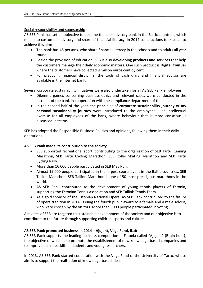### Social responsibility and sponsorship

AS SEB Pank has set an objective to become the best advisory bank in the Baltic countries, which means to customers advisory and share of financial literacy. In 2014 some actions took place to achieve this aim:

- The bank has 45 persons, who share financial literacy in the schools and to adults all year round;
- Beside the provision of education, SEB is also **developing products and services** that help the customers manage their daily economic matters. One such product is **Digital Coin Jar** where the customers have collected 9 million euros cent by cent.
- For practicing financial discipline, the tools of cash diary and financial advisor are available in the internet bank.

Several corporate sustainability initiatives were also undertaken for all AS SEB Pank employees:

- Dilemma games concerning business ethics and relevant cases were conducted in the Intranet of the bank in cooperation with the compliance department of the bank.
- In the second half of the year, the principles of **corporate sustainability journey** or **my personal sustainability journey** were introduced to the employees – an intellectual exercise for all employees of the bank, where behaviour that is more conscious is discussed in teams.

SEB has adopted the Responsible Business Policies and opinions, following them in their daily operations.

### **AS SEB Pank made its contribution to the society**

- SEB supported recreational sport, contributing to the organisation of SEB Tartu Running Marathon, SEB Tartu Cycling Marathon, SEB Roller Skating Marathon and SEB Tartu Cycling Rally.
- More than 16,000 people participated in SEB May Run.
- Almost 19,000 people participated in the largest sports event in the Baltic countries, SEB Tallinn Marathon. SEB Tallinn Marathon is one of 50 most prestigious marathons in the world.
- AS SEB Pank contributed to the development of young tennis players of Estonia, supporting the Estonian Tennis Association and SEB Tallink Tennis Team.
- As a gold sponsor of the Estonian National Opera, AS SEB Pank contributed to the future of opera tradition in 2014, issuing the fourth public award to a female and a male soloist, who were chosen by the visitors. More than 3000 people participated in voting.

Activities of SEB are targeted to sustainable development of the society and our objective is to contribute to the future through supporting children, sports and culture.

### **AS SEB Pank promoted business in 2014 – Ajujaht, Vega Fund, ILab**

AS SEB Pank supports the leading business competition in Estonia called "Ajujaht" (Brain hunt), the objective of which is to promote the establishment of new knowledge‐based companies and to improve business skills of students and young researchers.

In 2013, AS SEB Pank started cooperation with the Vega Fund of the University of Tartu, whose aim is to support the realisation of knowledge‐based ideas.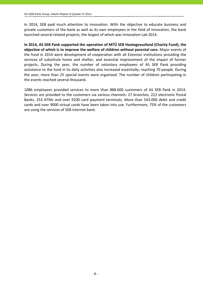In 2014, SEB paid much attention to innovation. With the objective to educate business and private customers of the bank as well as its own employees in the field of innovation, the bank launched several related projects, the largest of which was Innovation Lab 2014.

**In 2014, AS SEB Pank supported the operation of MTÜ SEB Heategevusfond (Charity Fund), the objective of which is to improve the welfare of children without parental care.** Major events of the fund in 2014 were development of cooperation with all Estonian institutions providing the services of substitute home and shelter, and essential improvement of the impact of former projects. During the year, the number of voluntary employees of AS SEB Pank providing assistance to the fund in its daily activities also increased essentially, reaching 70 people. During the year, more than 25 special events were organised. The number of children participating in the events reached several thousand.

1086 employees provided services to more than 888.600 customers of AS SEB Pank in 2014. Services are provided to the customers via various channels: 27 branches, 222 electronic Postal Banks, 253 ATMs and over 9100 card payment terminals. More than 543.000 debit and credit cards and over 9000 virtual cards have been taken into use. Furthermore, 75% of the customers are using the services of SEB internet bank.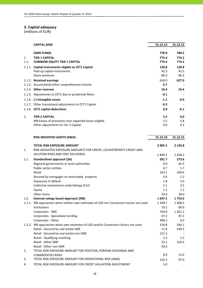### **3. Capital adequacy**

|        | <b>CAPITAL BASE</b>                                    | 31.12.14 | 31.12.13 |
|--------|--------------------------------------------------------|----------|----------|
|        | <b>OWN FUNDS</b>                                       | 778.9    | 780.2    |
| 1.     | <b>TIER 1 CAPITAL</b>                                  | 773.4    | 774.2    |
| 1.1.   | <b>COMMON EQUITY TIER 1 CAPITAL</b>                    | 773.4    | 774.2    |
| 1.1.1. | Capital instruments eligible as CET1 Capital           | 128.8    | 128.8    |
|        | Paid up capital instruments                            | 42.5     | 42.5     |
|        | Share premium                                          | 86.3     | 86.3     |
|        | 1.1.2. Retained earnings                               | 626.0    | 627.0    |
|        | 1.1.3. Accumulated other comprehensive income          | 0.7      |          |
|        | 1.1.4. Other reserves                                  | 19.4     | 19.4     |
|        | 1.1.5. Adjustments to CET1 due to prudential filters   | $-0.1$   |          |
|        | 1.1.6. (-) Intangible assets                           | $-1.1$   | $-0.9$   |
|        | 1.1.7. Other transitional adjustments to CET1 Capital  | $-0.3$   |          |
|        | 1.1.8. CET1 capital deductions                         | 0.0      | $-0.1$   |
| 2.     | <b>TIER 2 CAPITAL</b>                                  | 5.5      | 6.0      |
|        | IRB Excess of provisions over expected losses eligible | 5.5      | 5.8      |
|        | Other adjustments to Tier 2 Capital                    | 0.0      | 0.2      |

|      | <b>RISK WEIGHTED ASSETS (RWA)</b>                                                       | 31.12.14    | 31.12.13    |
|------|-----------------------------------------------------------------------------------------|-------------|-------------|
|      | <b>TOTAL RISK EXPOSURE AMOUNT</b>                                                       | 2 0 0 5 .5  | 2 140.8     |
| 1.   | RISK WEIGHTED EXPOSURE AMOUNTS FOR CREDIT, COUNTERPARTY CREDIT AND                      |             |             |
|      | DILUTION RISKS AND FREE DELIVERIES                                                      | 1849.2      | 2 0 2 8.2   |
| 1.1. | Standardised approach (SA)                                                              | 201.7       | 273.6       |
|      | Regional governments or local authorities                                               | 0.0         | 62.5        |
|      | Public sector entities                                                                  | 0.7         | 1.7         |
|      | Retail                                                                                  | 163.1       | 169.6       |
|      | Secured by mortgages on immovable property                                              | 0.9         | 1.2         |
|      | Exposures in default                                                                    | 1.8         | 5.0         |
|      | Collective investments undertakings (CIU)                                               | 5.1         | 4.5         |
|      | Equity                                                                                  | 1.1         | 1.1         |
|      | Other items                                                                             | 29.0        | 28.0        |
| 1.2. | <b>Internal ratings based Approach (IRB)</b>                                            | 1647.5      | 1754.6      |
|      | 1.2.1. IRB approaches when neither own estimates of LGD nor Conversion Factors are used | 1 3 2 8 . 7 | 1 408.5     |
|      | Institutions                                                                            | 19.2        | 60.0        |
|      | Corporates - SME                                                                        | 744.0       | 1 2 6 1 . 2 |
|      | Corporates - Specialised Lending                                                        | 67.3        | 87.3        |
|      | Corporates - Other                                                                      | 498.2       | 0.0         |
|      | 1.2.2. IRB approaches when own estimates of LGD and/or Conversion Factors are used      | 318.8       | 346.1       |
|      | Retail - Secured by real estate SME                                                     | 11.6        | 240.5       |
|      | Retail - Secured by real estate non-SME                                                 | 221.3       |             |
|      | Retail - Qualifying revolving                                                           | 2.2         | 2.3         |
|      | <b>Retail - Other SME</b>                                                               | 33.1        | 103.3       |
|      | Retail - Other non-SME                                                                  | 50.6        |             |
| 2.   | TOTAL RISK EXPOSURE AMOUNT FOR POSITION, FOREIGN EXCHANGE AND                           |             |             |
|      | <b>COMMODITIES RISKS</b>                                                                | 8.9         | 15.6        |
| 3.   | TOTAL RISK EXPOSURE AMOUNT FOR OPERATIONAL RISK (AMA)                                   | 142.4       | 97.0        |
| 4.   | TOTAL RISK EXPOSURE AMOUNT FOR CREDIT VALUATION ADJUSTMENT                              | 5.0         |             |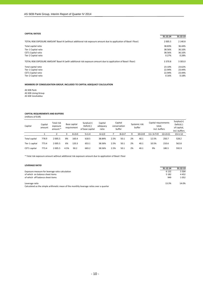#### **CAPITAL RATIOS**

| <b>CAPITAL KATIOS</b><br>31.12.14<br>TOTAL RISK EXPOSURE AMOUNT Basel III (without additional risk exposure amount due to application of Basel I floor)<br>2 0 0 5.5<br>Total capital ratio<br>38.83%<br>Tier 1 Capital ratio<br>38.56% |            |
|-----------------------------------------------------------------------------------------------------------------------------------------------------------------------------------------------------------------------------------------|------------|
|                                                                                                                                                                                                                                         | 31.12.13   |
|                                                                                                                                                                                                                                         | 2 140.8    |
|                                                                                                                                                                                                                                         | 36.44%     |
|                                                                                                                                                                                                                                         | 36.16%     |
| CET1 Capital ratio<br>38.56%                                                                                                                                                                                                            | 36.16%     |
| Tier 2 Capital ratio<br>0.27%                                                                                                                                                                                                           | 0.28%      |
| TOTAL RISK EXPOSURE AMOUNT Basel III (with additional risk exposure amount due to application of Basel I floor)<br>3 3 7 0.8                                                                                                            | 3 3 0 3 .0 |
| 23.10%<br>Total capital ratio                                                                                                                                                                                                           | 23.62%     |
| 22.94%<br>Tier 1 Capital ratio                                                                                                                                                                                                          | 23.44%     |
| CET1 Capital ratio<br>22.94%                                                                                                                                                                                                            | 23.44%     |
| Tier 2 Capital ratio<br>0.16%                                                                                                                                                                                                           | 0.18%      |

**MEMBERS OF CONSOLIDATION GROUP, INCLUDED TO CAPITAL ADEQUACY CALCULATION**

AS SEB Pank AS SEB Liising Group AS SEB Varahaldus

#### **CAPITAL REQUIREMENTS AND BUFFERS** . ............<br>: of FUR)

| (MIIIIONS OF EUR) |  |
|-------------------|--|
|-------------------|--|

| Capital        | Capital<br>amount | Total risk<br>exposure<br>amount * |      | Base capital<br>requirement | $Surplus(+)$<br>Deficit(-)<br>of base capital | Capital<br>adeguacy<br>ratio |      | Capital<br>conservation<br>buffer |    | Systemic risk<br>buffer | Capital requirements<br>total,<br>incl. buffers |                    | $Surplus(+)$<br>Deficit(-)<br>of capital,<br>incl. buffers |
|----------------|-------------------|------------------------------------|------|-----------------------------|-----------------------------------------------|------------------------------|------|-----------------------------------|----|-------------------------|-------------------------------------------------|--------------------|------------------------------------------------------------|
|                |                   |                                    |      | $4=2\times3$                | $5 = 1 - 4$                                   | $6=1/2$                      |      | $8=2\times7$                      | a  | $10=2\times9$           | $11 = 3 + 7 + 9$                                | $12 = 2 \times 11$ | $13 = 1 - 12$                                              |
| Total capital  | 778.9             | 2 0 0 5.5                          | 8%   | 160.4                       | 618.5                                         | 38.84%                       | 2.5% | 50.1                              | 2% | 40.1                    | 12.5%                                           | 250.7              | 528.2                                                      |
| Tier 1 capital | 773.4             | 2 0 0 5.5                          | 6%   | 120.3                       | 653.1                                         | 38.56%                       | 2.5% | 50.1                              | 2% | 40.1                    | 10.5%                                           | 210.6              | 562.8                                                      |
| CET1 capital   | 773.4             | 2 0 0 5.5                          | 4.5% | 90.2                        | 683.2                                         | 38.56%                       | 2.5% | 50.1                              | 2% | 40.1                    | 9%                                              | 180.5              | 592.9                                                      |

\* Total risk exposure amount without additional risk exposure amount due to application of Basel I floor

#### **LEVERAGE RATIO**

| 31.12.14<br>31.12.13    |
|-------------------------|
| 6 1 3 2<br>5.504        |
| 4452                    |
| 1 0 5 2                 |
| 14.0%                   |
|                         |
| 5 1 8 2<br>949<br>13.3% |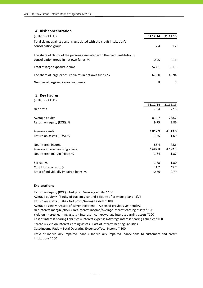### **4. Risk concentration**

| (millions of EUR)                                                                                                       | 31.12.14 | 31.12.13 |
|-------------------------------------------------------------------------------------------------------------------------|----------|----------|
| Total claims against persons associated with the credit institution's<br>consolidation group                            | 7.4      | 1.2      |
| The share of claims of the persons associated with the credit institution's<br>consolidation group in net own funds, %, | 0.95     | 0.16     |
| Total of large exposure claims                                                                                          | 524.1    | 381.9    |
| The share of large exposure claims in net own funds, %                                                                  | 67.30    | 48.94    |
| Number of large exposure customers                                                                                      | 8        | 5.       |

#### **5. Key figures**

| (millions of EUR)                       |             |            |
|-----------------------------------------|-------------|------------|
|                                         | 31.12.14    | 31.12.13   |
| Net profit                              | 79.4        | 72.8       |
| Average equity                          | 814.7       | 738.7      |
| Return on equity (ROE), %               | 9.75        | 9.86       |
| Average assets                          | 4 8 1 2 . 9 | 4 3 1 3 .0 |
| Return on assets (ROA), %               | 1.65        | 1.69       |
| Net interest income                     | 86.4        | 78.6       |
| Average interest earning assets         | 4 687.8     | 4 192.3    |
| Net interest margin (NIM), %            | 1.84        | 1.87       |
| Spread, %                               | 1.78        | 1.80       |
| Cost / Income ratio, %                  | 41.7        | 45.7       |
| Ratio of individually impaired loans, % | 0.76        | 0.79       |

#### **Explanations**

Return on equity (ROE) = Net profit/Average equity \* 100 Average equity = (Equity of current year end + Equity of previous year end)/2 Return on assets (ROA) = Net profit/Average assets \* 100 Average assets = (Assets of current year end + Assets of previous year end)/2 Cost of interest bearing liabilities = Interest expenses/Average interest bearing liabilities \*100 Cost/Income Ratio = Total Operating Expenses/Total Income \* 100 Spread = Yield on interest earning assets ‐ Cost of interest bearing liabilities Ratio of individually impaired loans = Individually impaired loans/Loans to customers and credit institutions\* 100 Net interest margin (NIM) = Net interest income/Average interest earning assets \* 100 Yield on interest earning assets = Interest income/Average interest earning assets \*100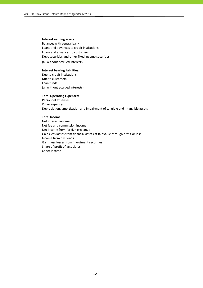#### **Interest earning assets:**

Balances with central bank Loans and advances to credit institutions Loans and advances to customers Debt securities and other fixed income securities (all without accrued interests)

**Interest bearing liabilities:**

Due to credit institutions Due to customers Loan funds (all without accrued interests)

#### **Total Operating Expenses:**

Personnel expenses Other expenses Depreciation, amortisation and impairment of tangible and intangible assets

#### **Total Income:**

Net interest income Net fee and commission income Net income from foreign exchange Gains less losses from financial assets at fair value through profit or loss Income from dividends Gains less losses from investment securities Share of profit of associates Other income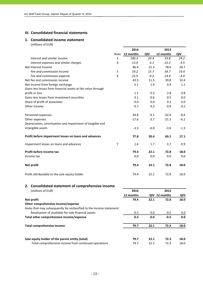### **III. Consolidated financial statements**

### **1. Consolidated income statement**

|                                                               |      | 2014      |        | 2013      |        |
|---------------------------------------------------------------|------|-----------|--------|-----------|--------|
|                                                               | Note | 12 months | QIV    | 12 months | QIV    |
| Interest and similar income                                   | 3    | 100.3     | 24.4   | 93.8      | 24.2   |
| Interest expenses and similar charges                         | 4    | $-13.9$   | $-3.1$ | $-15.2$   | $-3.5$ |
| Net Interest Income                                           |      | 86.4      | 21.3   | 78.6      | 20.7   |
| Fee and commission income                                     | 5    | 59.2      | 15.7   | 54.7      | 14.4   |
| Fee and commission expense                                    | 6    | $-15.9$   | $-4.2$ | $-14.9$   | $-4.0$ |
| Net fee and commission income                                 |      | 43.3      | 11.5   | 39.8      | 10.4   |
| Net income from foreign exchange                              |      | 5.1       | 1.4    | 4.4       | 1.1    |
| Gains less losses from financial assets at fair value through |      |           |        |           |        |
| profit or loss                                                |      | 1.1       | 0.3    | 2.8       | 0.8    |
| Gains less losses from investment securities                  |      | $-3.1$    | $-0.6$ | 0.5       | 0.0    |
| Share of profit of associates                                 |      | 0.0       | 0.0    | 0.2       | 0.0    |
| Other income                                                  |      | 0.7       | 0.2    | 0.9       | 0.2    |
| Personnel expenses                                            |      | $-34.8$   | $-9.1$ | $-32.9$   | $-8.6$ |
| Other expenses                                                |      | $-17.6$   | $-3.7$ | $-21.3$   | $-6.2$ |
| Depreciation, amortisation and impairment of tangible and     |      |           |        |           |        |
| intangible assets                                             |      | $-3.3$    | $-0.9$ | $-3.9$    | $-1.3$ |
| Profit before impairment losses on loans and advances         |      | 77.8      | 20.4   | 69.1      | 17.1   |
| Impairment losses on loans and advances                       | 7    | 1.6       | 1.7    | 3.7       | 0.9    |
| Profit before income tax                                      |      | 79.4      | 22.1   | 72.8      | 18.0   |
| Income tax                                                    |      | 0.0       | 0.0    | 0.0       | 0.0    |
| Net profit                                                    |      | 79.4      | 22.1   | 72.8      | 18.0   |
| Profit attributable to the sole equity holder                 |      | 79.4      | 22.1   | 72.8      | 18.0   |
| 2. Consolidated statement of comprehensive income             |      |           |        |           |        |

| (millions of EUR)                                                    | 2014      |      |               |         |
|----------------------------------------------------------------------|-----------|------|---------------|---------|
|                                                                      | 12 months |      | QIV 12 months | QIV     |
| Net profit                                                           | 79.4      | 22.1 | 72.8          | 18.0    |
| Other comprehensive income/expense                                   |           |      |               |         |
| Items that may subsequently be reclassified to the income statement: |           |      |               |         |
| Revaluation of available-for-sale financial assets                   | 0.3       | 0.0  | $-0.5$        | $0.0\,$ |
| Total other comprehensive income/expense                             | 0.3       | 0.0  | $-0.5$        | 0.0     |
| Total comprehensive income                                           | 79.7      | 22.1 | 72.3          | 18.0    |
| Sole equity holder of the parent entity (total)                      | 79.7      | 22.1 | 72.3          | 18.0    |
| -Total comprehensive income from continued operations                | 79.7      | 22.1 | 72.3          | 18.0    |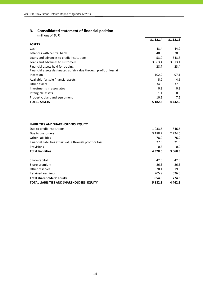### **3. Consolidated statement of financial position**

| (millions of EUR)                                                   |             |             |
|---------------------------------------------------------------------|-------------|-------------|
|                                                                     | 31.12.14    | 31.12.13    |
| <b>ASSETS</b>                                                       |             |             |
| Cash                                                                | 43.4        | 44.9        |
| Balances with central bank                                          | 940.0       | 70.0        |
| Loans and advances to credit institutions                           | 53.0        | 343.3       |
| Loans and advances to customers                                     | 3 9 6 3 . 4 | 3 8 1 3 . 1 |
| Financial assets held for trading                                   | 28.7        | 23.4        |
| Financial assets designated at fair value through profit or loss at |             |             |
| inception                                                           | 102.2       | 97.1        |
| Available-for-sale financial assets                                 | 5.2         | 4.6         |
| Other assets                                                        | 34.8        | 37.3        |
| Investments in associates                                           | 0.8         | 0.8         |
| Intangible assets                                                   | 1.1         | 0.9         |
| Property, plant and equipment                                       | 10.2        | 7.5         |
| <b>TOTAL ASSETS</b>                                                 | 5 182.8     | 4 4 4 2 . 9 |

#### **LIABILITIES AND SHAREHOLDERS' EQUITY**

| Due to credit institutions                                 | 1 0 3 3 .5 | 846.6       |
|------------------------------------------------------------|------------|-------------|
| Due to customers                                           | 3 188.7    | 2 7 2 4 .0  |
| Other liabilities                                          | 78.0       | 76.2        |
| Financial liabilities at fair value through profit or loss | 27.5       | 21.5        |
| Provisions                                                 | 0.3        | 0.0         |
| <b>Total Liabilities</b>                                   | 4 3 2 8 .0 | 3 668.3     |
|                                                            |            |             |
| Share capital                                              | 42.5       | 42.5        |
| Share premium                                              | 86.3       | 86.3        |
| Other reserves                                             | 20.1       | 19.8        |
| Retained earnings                                          | 705.9      | 626.0       |
| <b>Total shareholders' equity</b>                          | 854.8      | 774.6       |
| <b>TOTAL LIABILITIES AND SHAREHOLDERS' EQUITY</b>          | 5 182.8    | 4 4 4 2 . 9 |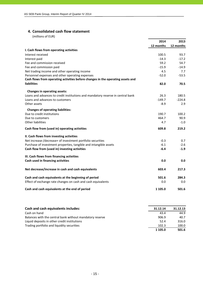### **4. Consolidated cash flow statement**

|                                                                                 | 2014      | 2013      |
|---------------------------------------------------------------------------------|-----------|-----------|
|                                                                                 | 12 months | 12 months |
| I. Cash flows from operating activities                                         |           |           |
| Interest received                                                               | 100.5     | 93.7      |
| Interest paid                                                                   | $-14.3$   | $-17.2$   |
| Fee and commission received                                                     | 59.2      | 54.7      |
| Fee and commission paid                                                         | $-15.9$   | $-14.9$   |
| Net trading income and other operating income                                   | 4.5       | 7.7       |
| Personnel expenses and other operating expenses                                 | $-52.0$   | $-53.5$   |
| Cash flows from operating activities before changes in the operating assets and |           |           |
| <b>liabilities</b>                                                              | 82.0      | 70.5      |
| <b>Changes in operating assets:</b>                                             |           |           |
| Loans and advances to credit institutions and mandatory reserve in central bank | 26.3      | 180.5     |
| Loans and advances to customers                                                 | $-149.7$  | $-224.8$  |
| Other assets                                                                    | $-8.9$    | 2.9       |
| <b>Changes of operating liabilities:</b>                                        |           |           |
| Due to credit institutions                                                      | 190.7     | 100.2     |
| Due to customers                                                                | 464.7     | 90.9      |
| <b>Other liabilities</b>                                                        | 4.7       | $-1.0$    |
| Cash flow from (used in) operating activities                                   | 609.8     | 219.2     |
| II. Cash flows from investing activities                                        |           |           |
| Net increase-/decrease+ of investment portfolio securities                      | $-0.3$    | 0.7       |
| Purchase of investment properties, tangible and intangible assets               | $-6.1$    | $-2.6$    |
| Cash flow from (used in) investing activities                                   | $-6.4$    | $-1.9$    |
| III. Cash flows from financing activities                                       |           |           |
| Cash used in financing activities                                               | 0.0       | 0.0       |
| Net decrease/increase in cash and cash equivalents                              | 603.4     | 217.3     |
| Cash and cash equivalents at the beginning of period                            | 501.6     | 284.3     |
| Effect of exchange rate changes on cash and cash equivalents                    | 0.0       | 0.0       |
| Cash and cash equivalents at the end of period                                  | 1 105.0   | 501.6     |

| Cash and cash equivalents includes:                      | 31.12.14 | 31.12.13 |
|----------------------------------------------------------|----------|----------|
| Cash on hand                                             | 43.4     | 44.9     |
| Balances with the central bank without mandatory reserve | 906.9    | 40.7     |
| Liquid deposits in other credit institutions             | 52.4     | 316.0    |
| Trading portfolio and liquidity securities               | 102.3    | 100.0    |
|                                                          | 1 105.0  | 501.6    |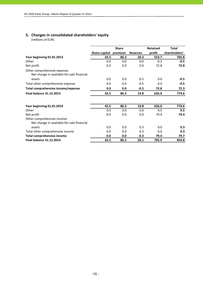### **5. Changes in consolidated shareholders' equity**

|                                                                            |               | <b>Share</b> |                 | <b>Retained</b> | <b>Total</b>  |
|----------------------------------------------------------------------------|---------------|--------------|-----------------|-----------------|---------------|
|                                                                            | Share capital | premium      | <b>Reserves</b> | profit          | shareholders' |
| Year beginning 01.01.2013                                                  | 42.5          | 86.3         | 20.3            | 553.7           | 702.8         |
| Other                                                                      | 0.0           | 0.0          | 0.0             | $-0.5$          | $-0.5$        |
| Net profit                                                                 | 0.0           | 0.0          | 0.0             | 72.8            | 72.8          |
| Other comprehensive expense:<br>Net change in available-for-sale financial |               |              |                 |                 |               |
| assets                                                                     | 0.0           | 0.0          | $-0.5$          | 0.0             | $-0.5$        |
| Total other comprehensive expense                                          | 0.0           | 0.0          | $-0.5$          | 0.0             | $-0.5$        |
| Total comprehensive income/expense                                         | 0.0           | 0.0          | $-0.5$          | 72.8            | 72.3          |
| <b>Final balance 31.12.2013</b>                                            | 42.5          | 86.3         | 19.8            | 626.0           | 774.6         |
| Year beginning 01.01.2014                                                  | 42.5          | 86.3         | 19.8            | 626.0           | 774.6         |
| Other                                                                      | 0.0           | 0.0          | 0.0             | 0.5             | 0.5           |
| Net profit                                                                 | 0.0           | 0.0          | 0.0             | 79.4            | 79.4          |
| Other comprehensive income:<br>Net change in available-for-sale financial  |               |              |                 |                 |               |
| assets                                                                     | 0.0           | 0.0          | 0.3             | 0.0             | 0.3           |
| Total other comprehensive income                                           | 0.0           | 0.0          | 0.3             | 0.0             | 0.3           |
| <b>Total comprehensive income</b>                                          | 0.0           | 0.0          | 0.3             | 79.4            | 79.7          |
| <b>Final balance 31.12.2014</b>                                            | 42.5          | 86.3         | 20.1            | 705.9           | 854.8         |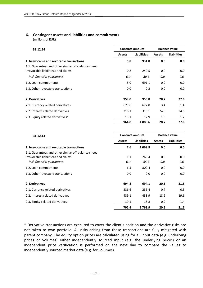### **6. Contingent assets and liabilities and commitments**

(millions of EUR)

| 31.12.14                                            |               | <b>Balance value</b><br><b>Contract amount</b> |               |                    |
|-----------------------------------------------------|---------------|------------------------------------------------|---------------|--------------------|
|                                                     | <b>Assets</b> | <b>Liabilities</b>                             | <b>Assets</b> | <b>Liabilities</b> |
| 1. Irrevocable and revocable transactions           | 5.8           | 931.8                                          | 0.0           | 0.0                |
| 1.1. Guarantees and other similar off-balance sheet |               |                                                |               |                    |
| irrovocable liabilitieas and claims                 | 0.8           | 240.5                                          | 0.0           | 0.0                |
| incl. financial quarantees                          | 0.0           | 80.3                                           | 0.0           | 0.0                |
| 1.2. Loan commitments                               | 5.0           | 691.1                                          | 0.0           | 0.0                |
| 1.3. Other revocable transactions                   | 0.0           | 0.2                                            | 0.0           | 0.0                |
| 2. Derivatives                                      | 959.0         | 956.8                                          | 28.7          | 27.6               |
| 2.1. Currency related derivatives                   | 629.8         | 627.8                                          | 3.4           | 1.4                |
| 2.2. Interest related derivatives                   | 316.1         | 316.1                                          | 24.0          | 24.5               |
| 2.3. Equity related derivatives*                    | 13.1          | 12.9                                           | 1.3           | 1.7                |
|                                                     | 964.8         | 1888.6                                         | 28.7          | 27.6               |

| 31.12.13                                            |               | <b>Contract amount</b> |               | <b>Balance value</b> |  |
|-----------------------------------------------------|---------------|------------------------|---------------|----------------------|--|
|                                                     | <b>Assets</b> | <b>Liabilities</b>     | <b>Assets</b> | <b>Liabilities</b>   |  |
| 1. Irrevocable and revocable transactions           | 7.6           | 1069.8                 | 0.0           | 0.0                  |  |
| 1.1. Guarantees and other similar off-balance sheet |               |                        |               |                      |  |
| irrovocable liabilitieas and claims                 | 1.1           | 260.4                  | 0.0           | 0.0                  |  |
| incl. financial quarantees                          | 0.0           | 65.3                   | 0.0           | 0.0                  |  |
| 1.2. Loan commitments                               | 6.5           | 809.4                  | 0.0           | 0.0                  |  |
| 1.3. Other revocable transactions                   | 0.0           | 0.0                    | 0.0           | 0.0                  |  |
| 2. Derivatives                                      | 694.8         | 694.1                  | 20.5          | 21.5                 |  |
| 2.1. Currency related derivatives                   | 236.6         | 236.4                  | 0.7           | 0.5                  |  |
| 2.2. Interest related derivatives                   | 439.1         | 438.9                  | 18.9          | 19.6                 |  |
| 2.3. Equity related derivatives*                    | 19.1          | 18.8                   | 0.9           | 1.4                  |  |
|                                                     | 702.4         | 1763.9                 | 20.5          | 21.5                 |  |

\* Derivative transactions are executed to cover the client's position and the derivative risks are not taken to own portfolio. All risks arising from these transactions are fully mitigated with parent company. The equity option prices are calculated using for all input data (e.g. underlying prices or volumes) either independently sourced input (e.g. the underlying prices) or an independent price verification is performed on the next day to compare the values to independently sourced market data (e.g. for volumes).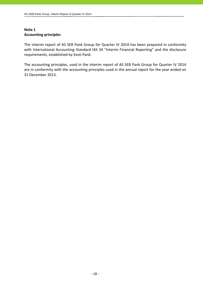### **Note 1 Accounting principles**

The interim report of AS SEB Pank Group for Quarter IV 2014 has been prepared in conformity with International Accounting Standard IAS 34 "Interim Financial Reporting" and the disclosure requirements, established by Eesti Pank.

The accounting principles, used in the interim report of AS SEB Pank Group for Quarter IV 2014 are in conformity with the accounting principles used in the annual report for the year ended on 31 December 2013.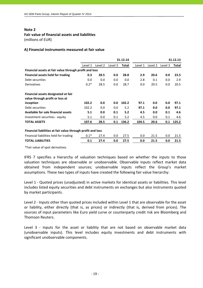### **Note 2 Fair value of financial assets and liabilities**

(millions of EUR)

### **A) Financial instruments measured at fair value**

|                                                             |         |         |         | 31.12.14     |         |         |         | 31.12.13     |
|-------------------------------------------------------------|---------|---------|---------|--------------|---------|---------|---------|--------------|
|                                                             | Level 1 | Level 2 | Level 3 | <b>Total</b> | Level 1 | Level 2 | Level 3 | <b>Total</b> |
| Financial assets at fair value through profit and loss      |         |         |         |              |         |         |         |              |
| <b>Financial assets held for trading</b>                    | 0.3     | 28.5    | 0.0     | 28.8         | 2.9     | 20.6    | 0.0     | 23.5         |
| Debt securities                                             | 0.0     | 0.0     | 0.0     | 0.0          | 2.8     | 0.1     | 0.0     | 2.9          |
| Derivatives                                                 | $0.2*$  | 28.5    | 0.0     | 28.7         | 0.0     | 20.5    | 0.0     | 20.5         |
| Financial assets designated at fair                         |         |         |         |              |         |         |         |              |
| value through profit or loss at                             |         |         |         |              |         |         |         |              |
| inception                                                   | 102.2   | 0.0     | 0.0     | 102.2        | 97.1    | 0.0     | 0.0     | 97.1         |
| Debt securities                                             | 102.2   | 0.0     | 0.0     | 5.2          | 97.1    | 0.0     | 0.0     | 97.1         |
| Available for sale financial assets                         | 5.1     | 0.0     | 0.1     | 5.2          | 4.5     | 0.0     | 0.1     | 4.6          |
| Investment securities - equity                              | 5.1     | 0.0     | 0.1     | 5.2          | 4.5     | 0.0     | 0.1     | 4.6          |
| <b>TOTAL ASSETS</b>                                         | 107.6   | 28.5    | 0.1     | 136.2        | 104.5   | 20.6    | 0.1     | 125.2        |
| Financial liabilities at fair value through profit and loss |         |         |         |              |         |         |         |              |
| Financial liabilities held for trading                      | $0.1*$  | 27.4    | 0.0     | 27.5         | 0.0     | 21.5    | 0.0     | 21.5         |
| <b>TOTAL LIABILITIES</b>                                    | 0.1     | 27.4    | 0.0     | 27.5         | 0.0     | 21.5    | 0.0     | 21.5         |

\*Fair value of spot derivatives

IFRS 7 specifies a hierarchy of valuation techniques based on whether the inputs to those valuation techniques are observable or unobservable. Observable inputs reflect market data obtained from independent sources; unobservable inputs reflect the Group's market assumptions. These two types of inputs have created the following fair value hierarchy:

Level 1 ‐ Quoted prices (unadjusted) in active markets for identical assets or liabilities. This level includes listed equity securities and debt instruments on exchanges but also instruments quoted by market participants.

Level 2 - Inputs other than quoted prices included within Level 1 that are observable for the asset or liability, either directly (that is, as prices) or indirectly (that is, derived from prices). The sources of input parameters like Euro yield curve or counterparty credit risk are Bloomberg and Thomson Reuters.

Level 3 - Inputs for the asset or liability that are not based on observable market data (unobservable inputs). This level includes equity investments and debt instruments with significant unobservable components.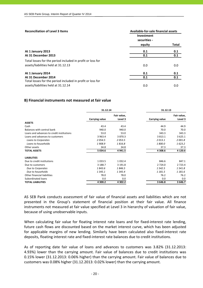| <b>Reconciliation of Level 3 Items</b>                     | Available-for-sale financial assets |       |
|------------------------------------------------------------|-------------------------------------|-------|
|                                                            | Investment                          |       |
|                                                            | securities -                        |       |
|                                                            | equity                              | Total |
| At 1 January 2013                                          | 0.1                                 | 0.1   |
| At 31 December 2013                                        | 0.1                                 | 0.1   |
| Total losses for the period included in profit or loss for |                                     |       |
| assets/liabilities held at 31.12.13                        | 0.0                                 | 0.0   |
| At 1 January 2014                                          | 0.1                                 | 0.1   |
| At 31 December 2014                                        | 0.1                                 | 0.1   |
| Total losses for the period included in profit or loss for |                                     |       |
| assets/liabilities held at 31.12.14                        | 0.0                                 | 0.0   |

#### **B) Financial instruments not measured at fair value**

|                                           | 31.12.14              |             | 31.12.13       |             |
|-------------------------------------------|-----------------------|-------------|----------------|-------------|
|                                           |                       | Fair value, |                | Fair value, |
|                                           | <b>Carrying value</b> | Level 3     | Carrying value | Level 3     |
| <b>ASSETS</b>                             |                       |             |                |             |
| Cash                                      | 43.4                  | 43.4        | 44.9           | 44.9        |
| Balances with central bank                | 940.0                 | 940.0       | 70.0           | 70.0        |
| Loans and advances to credit institutions | 53.0                  | 53.0        | 343.3          | 343.3       |
| Loans and advances to customers           | 3 9 6 3 . 4           | 3 870.3     | 3 8 1 3 . 1    | 3 6 2 5 . 1 |
| Loans to Corporates                       | 2054.5                | 2053.5      | 2013.1         | 2 001.8     |
| Loans to households                       | 1908.9                | 1816.8      | 1800.0         | 1623.2      |
| Other assets                              | 34.8                  | 34.8        | 37.3           | 37.3        |
| <b>TOTAL ASSETS</b>                       | 5 0 3 4 . 6           | 4 9 4 1.5   | 4 308.6        | 4 1 2 0 . 6 |
| <b>LIABILITIES</b>                        |                       |             |                |             |
| Due to credit institutions                | 1 0 3 3 .5            | 1 0 3 2 . 4 | 846.6          | 847.1       |
| Due to customers                          | 3 188.7               | 3 191.8     | 2 7 2 4 .0     | 2 7 2 3 . 4 |
| Due to Corporates                         | 1843.6                | 1846.5      | 1542.5         | 1541.8      |
| Due to households                         | 1 3 4 5 . 1           | 1 3 4 5 . 4 | 1 181.5        | 1 181.6     |
| Other financial liabilities               | 78.0                  | 78.0        | 76.2           | 76.2        |
| Subordinated loans                        | 0.0                   | 0.0         | 0.0            | 0.0         |
| <b>TOTAL LIABILITIES</b>                  | 4 300.2               | 4 302.2     | 3646.8         | 3646.7      |

AS SEB Pank conducts assessment of fair value of financial assets and liabilities which are not presented in the Group's statement of financial position at their fair value. All finance instruments not measured at fair value specified at Level 3 in hierarchy of valuation of fair value, because of using unobservable inputs.

When calculating fair value for floating interest rate loans and for fixed-interest rate lending, future cash flows are discounted based on the market interest curve, which has been adjusted for applicable margins of new lending. Similarly have been calculated also fixed-interest rate deposits, floating interest rate and fixed‐interest rate balances due to credit institutions.

As of reporting date fair value of loans and advances to customers was 3.82% (31.12.2013: 4.93%) lower than the carrying amount. Fair value of balances due to credit institutions was 0.15% lower (31.12.2013: 0.06% higher) than the carrying amount. Fair value of balances due to customers was 0.08% higher (31.12.2013: 0.02% lower) than the carrying amount.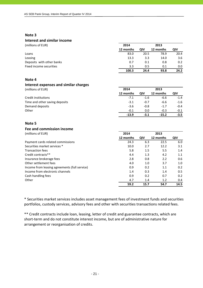#### **Note 3**

### **Interest and similar income**

| (millions of EUR)         | 2014      |      | 2013      |               |
|---------------------------|-----------|------|-----------|---------------|
|                           | 12 months | QIV  | 12 months | QIV           |
| Loans                     | 83.0      | 20.5 | 78.9      | 20.4          |
| Leasing                   | 13.3      | 3.3  | 14.0      | 3.6           |
| Deposits with other banks | 0.7       | 0.1  | 0.8       | $0.2^{\circ}$ |
| Fixed income securities   | 3.3       | 0.5  | 0.1       | $0.0\,$       |
|                           | 100.3     | 24.4 | 93.8      | 24.2          |

### **Note 4**

#### **Interest expenses and similar charges** (millions of EUR) **2014 2013**

| .                              |           |        |           |        |
|--------------------------------|-----------|--------|-----------|--------|
|                                | 12 months | οιν    | 12 months | QIV    |
| Credit institutions            | $-7.1$    | $-1.6$ | -6.6      | $-1.4$ |
| Time and other saving deposits | $-3.1$    | $-0.7$ | -6.6      | $-1.6$ |
| Demand deposits                | $-3.6$    | $-0.8$ | $-1.7$    | $-0.4$ |
| Other                          | $-0.1$    | 0.0    | $-0.3$    | $-0.1$ |
|                                | $-13.9$   | $-3.1$ | $-15.2$   | $-3.5$ |

### **Note 5**

## **Fee and commission income**

| 2014      |      | 2013      |      |
|-----------|------|-----------|------|
| 12 months | QIV  | 12 months | QIV  |
| 24.3      | 6.3  | 22.5      | 6.0  |
| 10.0      | 2.7  | 12.2      | 3.1  |
| 5.8       | 1.5  | 5.5       | 1.4  |
| 4.4       | 1.3  | 4.2       | 1.1  |
| 2.8       | 0.8  | 2.2       | 0.6  |
| 4.0       | 1.0  | 3.7       | 1.0  |
| 0.9       | 0.2  | 1.1       | 0.2  |
| 1.4       | 0.3  | 1.4       | 0.5  |
| 0.9       | 0.2  | 0.7       | 0.2  |
| 4.7       | 1.4  | 1.2       | 0.4  |
| 59.2      | 15.7 | 54.7      | 14.5 |
|           |      |           |      |

\* Securities market services includes asset management fees of investment funds and securities portfolios, custody services, advisory fees and other with securities transactions related fees.

\*\* Credit contracts include loan, leasing, letter of credit and guarantee contracts, which are short-term and do not constitute interest income, but are of administrative nature for arrangement or reorganisation of credits.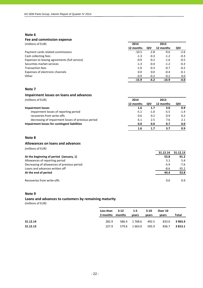#### **Note 6**

#### **Fee and commission expense**

(millions of EUR) **2014 2013**

|                                               | 12 months | QIV    | 12 months | QIV    |
|-----------------------------------------------|-----------|--------|-----------|--------|
| Payment cards related commissions             | $-10.5$   | $-2.8$ | $-9.6$    | $-2.6$ |
| Cash collecting fees                          | $-1.3$    | $-0.3$ | $-1.2$    | $-0.3$ |
| Expenses to leasing agreements (full service) | $-0.9$    | $-0.2$ | $-1.6$    | $-0.5$ |
| Securities market services                    | $-1.3$    | $-0.4$ | $-1.2$    | $-0.3$ |
| <b>Transaction fees</b>                       | $-1.0$    | $-0.3$ | $-0.7$    | $-0.2$ |
| Expenses of electronic channels               | 0.0       | 0.0    | $-0.4$    | $-0.1$ |
| Other                                         | $-0.9$    | $-0.2$ | $-0.2$    | 0.0    |
|                                               | $-15.9$   | $-4.2$ | $-14.9$   | $-4.0$ |

### **Note 7**

#### **Impairment losses on loans and advances**

(millions of EUR) **2014 2013**

|                                                    | 12 months | QIV    | 12 months | QIV    |
|----------------------------------------------------|-----------|--------|-----------|--------|
| Impairment losses                                  | 1.6       | 1.7    | 3.0       | 0.9    |
| impairment losses of reporting period              | $-5.1$    | $-1.0$ | $-5.5$    | $-1.4$ |
| recoveries from write-offs                         | 0.6       | 0.2    | 0.9       | 0.2    |
| decreasing of impairment losses of previous period | 6.1       | 2.5    | 7.6       | 2.1    |
| Impairment losses for contingent liabilities       | 0.0       | 0.0    | 0.7       | 0.0    |
|                                                    | 1.6       | 1.7    | 3.7       | 0.9    |

### **Note 8**

#### **Allowances on loans and advances**

(millions of EUR)

|                                             | 31.12.14 | 31.12.13 |
|---------------------------------------------|----------|----------|
| At the beginning of period (January, 1)     | 53.8     | 91.2     |
| Allowances of reporting period              | 5.1      | 5.4      |
| Decreasing of allowances of previous period | $-5.9$   | $-7.6$   |
| Loans and advances written off              | -8.6     | $-35.2$  |
| At the end of period                        | 44.4     | 53.8     |
| Recoveries from write-offs                  | 0.6      | 0.9      |

### **Note 9**

### **Loans and advances to customers by remaining maturity**

|          | Less than $3-12$<br>3 months months |       | $1-5$<br>vears | $5-10$<br>years | Over 10<br>vears | Total       |
|----------|-------------------------------------|-------|----------------|-----------------|------------------|-------------|
| 31.12.14 | 282.9                               |       | 586.4 1768.6   | 492.5           | 833.0            | 3 963.4     |
| 31.12.13 | 227.9                               | 579.6 | 1 663.0        | 505.9           | 836.7            | 3 8 1 3 . 1 |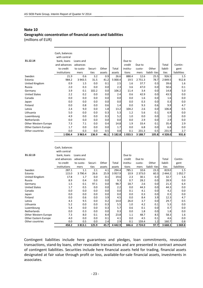### **Note 10 Geographic concentration of financial assets and liabilities** (millions of EUR)

| 31.12.14             | Cash, balances<br>with central<br>bank, loans<br>and advances<br>to credit<br>institutions | Loans and<br>advances<br>to custo-<br>mers | Securi-<br>ties | Other<br>assets | Total<br>assets | Due to<br>credit<br>institu-<br>tions | Due to<br>custo-<br>mers | Other<br>liabili-ties | Total<br>liabili-<br>ties | Contin-<br>gent<br>liabilities |
|----------------------|--------------------------------------------------------------------------------------------|--------------------------------------------|-----------------|-----------------|-----------------|---------------------------------------|--------------------------|-----------------------|---------------------------|--------------------------------|
| Sweden               | 21.9                                                                                       | 0.6                                        | 3.2             | 0.9             | 26.6            | 888.4                                 | 12.6                     | 25.5                  | 926.5                     | 1.5                            |
| Estonia              | 984.2                                                                                      | 3 9 4 3 .5                                 | 31.5            | 41.2            | 5 000.4         | 19.5                                  | 2 7 5 1 . 3              | 78.7                  | 2 849.5                   | 912.8                          |
| United Kingdom       | 0.9                                                                                        | 1.5                                        | 0.0             | 0.1             | 2.5             | 1.6                                   | 37.7                     | 0.3                   | 39.6                      | 1.6                            |
| Russia               | 2.0                                                                                        | 0.3                                        | 0.0             | 0.0             | 2.3             | 3.6                                   | 47.0                     | 0.0                   | 50.6                      | 0.1                            |
| Germany              | 3.9                                                                                        | 0.1                                        | 102.2           | 0.0             | 106.2           | 11.4                                  | 3.4                      | 0.0                   | 14.8                      | 5.0                            |
| <b>United States</b> | 2.2                                                                                        | 0.2                                        | 0.0             | 0.0             | 2.4             | 0.6                                   | 42.9                     | 0.0                   | 43.5                      | 0.0                            |
| Canada               | 0.0                                                                                        | 0.0                                        | 0.0             | 0.0             | 0.0             | 0.0                                   | 1.6                      | 0.0                   | 1.6                       | 0.0                            |
| Japan                | 0.0                                                                                        | 0.0                                        | 0.0             | 0.0             | 0.0             | 0.0                                   | 0.3                      | 0.0                   | 0.3                       | 0.0                            |
| Finland              | 0.0                                                                                        | 0.8                                        | 0.0             | 0.6             | 1.4             | 0.0                                   | 9.3                      | 0.6                   | 9.9                       | 4.7                            |
| Latvia               | 2.4                                                                                        | 9.0                                        | 0.0             | 1.8             | 13.2            | 104.2                                 | 2.6                      | 0.0                   | 106.8                     | 0.5                            |
| Lithuania            | 5.0                                                                                        | 0.0                                        | 0.0             | 0.3             | 5.3             | 1.2                                   | 5.6                      | 0.1                   | 6.9                       | 0.0                            |
| Luxembourg           | 4.9                                                                                        | 0.0                                        | 0.0             | 0.3             | 5.2             | 1.0                                   | 0.0                      | 0.0                   | 1.0                       | 0.0                            |
| Netherlands          | 0.0                                                                                        | 0.0                                        | 0.0             | 0.0             | 0.0             | 0.0                                   | 2.9                      | 0.0                   | 2.9                       | 0.0                            |
| Other Western Europe | 7.3                                                                                        | 7.1                                        | 0.0             | 0.4             | 14.8            | 1.9                                   | 33.4                     | 0.1                   | 35.4                      | 2.9                            |
| Other Eastern Europe | 1.7                                                                                        | 0.0                                        | 0.0             | 0.0             | 1.7             | 0.0                                   | 6.8                      | 0.0                   | 6.8                       | 0.0                            |
| Other countries      | 0.0                                                                                        | 0.3                                        | 0.0             | 0.5             | 0.8             | 0.1                                   | 231.3                    | 0.5                   | 231.9                     | 2.7                            |
|                      | 1 0 3 6 . 4                                                                                | 3 9 6 3.4                                  | 136.9           | 46.1            | 5 182.8         | 1 0 3 3 .5                            | 3 1 8 8 .7               | 105.8                 | 4 3 2 8 .0                | 931.8                          |

|                      | Cash, balances |           |         |        |             |          |            |              |          |             |
|----------------------|----------------|-----------|---------|--------|-------------|----------|------------|--------------|----------|-------------|
|                      | with central   |           |         |        |             |          |            |              |          |             |
| 31.12.13             | bank, loans    | Loans and |         |        |             | Due to   |            |              |          |             |
|                      | and advances   | advances  |         |        |             | credit   | Due to     |              | Total    | Contin-     |
|                      | to credit      | to custo- | Securi- | Other  | Total       | institu- | custo-     | Other        | liabili- | gent        |
|                      | institutions   | mers      | ties    | assets | assets      | tions    | mers       | liabili-ties | ties     | liabilities |
| Sweden               | 287.1          | 1.1       | 2.1     | 4.1    | 294.4       | 785.1    | 10.6       | 23.3         | 819.0    | 1.5         |
| Estonia              | 115.0          | 3790.4    | 26.6    | 25.9   | 3 9 5 7 . 9 | 10.9     | 2 3 7 3 .0 | 60.3         | 2 444.2  | 1052.7      |
| United Kingdom       | 17.8           | 1.7       | 0.0     | 0.1    | 19.6        | 2.3      | 30.1       | 0.3          | 32.7     | 1.6         |
| Russia               | 8.9            | 0.4       | 0.0     | 0.0    | 9.3         | 0.7      | 28.2       | 0.0          | 28.9     | 0.0         |
| Germany              | 1.5            | 0.1       | 97.1    | 0.0    | 98.7        | 18.7     | 2.6        | 0.0          | 21.3     | 6.4         |
| <b>United States</b> | 1.7            | 0.5       | 0.0     | 0.0    | 2.2         | 0.0      | 44.3       | 0.0          | 44.3     | 0.0         |
| Canada               | 0.0            | 0.0       | 0.0     | 0.0    | 0.0         | 0.1      | 4.1        | 0.0          | 4.2      | 0.0         |
| Japan                | 0.0            | 0.0       | 0.0     | 0.0    | 0.0         | 0.0      | 0.3        | 0.0          | 0.3      | 0.0         |
| Finland              | 0.0            | 0.6       | 0.0     | 3.9    | 4.5         | 0.0      | 8.4        | 3.9          | 12.3     | 4.7         |
| Latvia               | 4.3            | 9.5       | 0.0     | 0.2    | 14.0        | 26.0     | 3.7        | 0.0          | 29.7     | 0.5         |
| Lithuania            | 5.2            | 0.0       | 0.0     | 0.3    | 5.5         | 1.0      | 4.2        | 0.1          | 5.3      | 0.0         |
| Luxembourg           | 5.4            | 0.0       | 0.0     | 0.3    | 5.7         | 0.6      | 0.1        | 0.0          | 0.7      | 0.0         |
| Netherlands          | 0.0            | 0.3       | 0.0     | 0.0    | 0.3         | 0.0      | 1.8        | 0.0          | 1.8      | 0.0         |
| Other Western Europe | 7.3            | 8.0       | 0.1     | 8.4    | 23.8        | 1.1      | 48.7       | 8.5          | 58.3     | 1.6         |
| Other Eastern Europe | 4.0            | 0.0       | 0.0     | 0.1    | 4.1         | 0.0      | 4.5        | 0.1          | 4.6      | 0.0         |
| Other countries      | 0.0            | 0.5       | 0.0     | 2.4    | 2.9         | 0.1      | 159.4      | 1.2          | 160.7    | 0.8         |
|                      | 458.2          | 3813.1    | 125.9   | 45.7   | 4442.9      | 846.6    | 2 7 2 4 .0 | 97.7         | 3 668.3  | 1069.8      |

Contingent liabilities include here guarantees and pledges, loan commitments, revocable transactions, stand‐by loans, other revocable transactions and are presented in contract amount of contingent liabilities. Securities include here financial assets held for trading, financial assets designated at fair value through profit or loss, available‐for‐sale financial assets, investments in associates.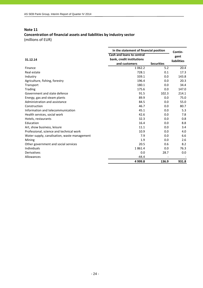### **Note 11**

# **Concentration of financial assets and liabilities by industry sector**

| In the statement of financial position       |                           |                   |                    |  |
|----------------------------------------------|---------------------------|-------------------|--------------------|--|
|                                              | Cash and loans to central |                   | Contin-<br>gent    |  |
| 31.12.14                                     | bank, credit institutions |                   | <b>liabilities</b> |  |
|                                              | and customers             | <b>Securities</b> |                    |  |
| Finance                                      | 1 0 6 2.2                 | 5.2               | 20.4               |  |
| Real estate                                  | 728.1                     | 0.1               | 17.3               |  |
| Industry                                     | 339.1                     | 0.0               | 143.8              |  |
| Agriculture, fishing, forestry               | 196.4                     | 0.0               | 20.3               |  |
| Transport                                    | 180.1                     | 0.0               | 34.4               |  |
| <b>Trading</b>                               | 175.6                     | 0.0               | 147.0              |  |
| Government and state defence                 | 91.5                      | 102.3             | 214.1              |  |
| Energy, gas and steam plants                 | 89.9                      | 0.0               | 75.0               |  |
| Administration and assistance                | 84.5                      | 0.0               | 55.0               |  |
| Construction                                 | 46.7                      | 0.0               | 80.7               |  |
| Information and telecommunication            | 45.1                      | 0.0               | 5.3                |  |
| Health services, social work                 | 42.6                      | 0.0               | 7.8                |  |
| Hotels, restaurants                          | 32.3                      | 0.0               | 0.8                |  |
| Education                                    | 16.4                      | 0.0               | 8.8                |  |
| Art, show business, leisure                  | 11.1                      | 0.0               | 3.4                |  |
| Professional, science and technical work     | 10.9                      | 0.0               | 4.0                |  |
| Water supply, canalisation, waste management | 7.9                       | 0.0               | 6.6                |  |
| Mining                                       | 1.9                       | 0.0               | 2.6                |  |
| Other government and social services         | 20.5                      | 0.6               | 8.2                |  |
| Individuals                                  | 1861.4                    | 0.0               | 76.3               |  |
| Derivatives                                  | 0.0                       | 28.7              | 0.0                |  |
| Allowances                                   | $-44.4$                   |                   |                    |  |
|                                              | 4 9 9 9.8                 | 136.9             | 931.8              |  |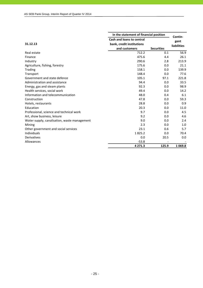|                                              | In the statement of financial position | Contin-           |                    |
|----------------------------------------------|----------------------------------------|-------------------|--------------------|
|                                              | <b>Cash and loans to central</b>       |                   | gent               |
| 31.12.13                                     | bank, credit institutions              |                   | <b>liabilities</b> |
|                                              | and customers                          | <b>Securities</b> |                    |
| Real estate                                  | 712.2                                  | 0.1               | 56.9               |
| Finance                                      | 475.6                                  | 4.4               | 26.1               |
| Industry                                     | 290.6                                  | 2.8               | 213.9              |
| Agriculture, fishing, forestry               | 175.6                                  | 0.0               | 21.1               |
| Trading                                      | 158.1                                  | 0.0               | 139.9              |
| Transport                                    | 148.4                                  | 0.0               | 77.6               |
| Government and state defence                 | 105.1                                  | 97.1              | 221.8              |
| Administration and assistance                | 94.4                                   | 0.0               | 33.5               |
| Energy, gas and steam plants                 | 92.3                                   | 0.0               | 98.9               |
| Health services, social work                 | 49.4                                   | 0.0               | 14.2               |
| Information and telecommunication            | 48.0                                   | 0.4               | 6.1                |
| Construction                                 | 47.8                                   | 0.0               | 59.3               |
| Hotels, restaurants                          | 28.8                                   | 0.0               | 0.9                |
| Education                                    | 20.3                                   | 0.0               | 11.0               |
| Professional, science and technical work     | 9.7                                    | 0.0               | 4.5                |
| Art, show business, leisure                  | 9.2                                    | 0.0               | 4.6                |
| Water supply, canalisation, waste management | 9.0                                    | 0.0               | 2.4                |
| Mining                                       | 2.3                                    | 0.0               | 1.0                |
| Other government and social services         | 23.1                                   | 0.6               | 5.7                |
| Individuals                                  | 1825.2                                 | 0.0               | 70.4               |
| <b>Derivatives</b>                           | 0.0                                    | 20.5              | 0.0                |
| Allowances                                   | $-53.8$                                |                   |                    |
|                                              | 4 2 7 1 . 3                            | 125.9             | 1 0 6 9.8          |